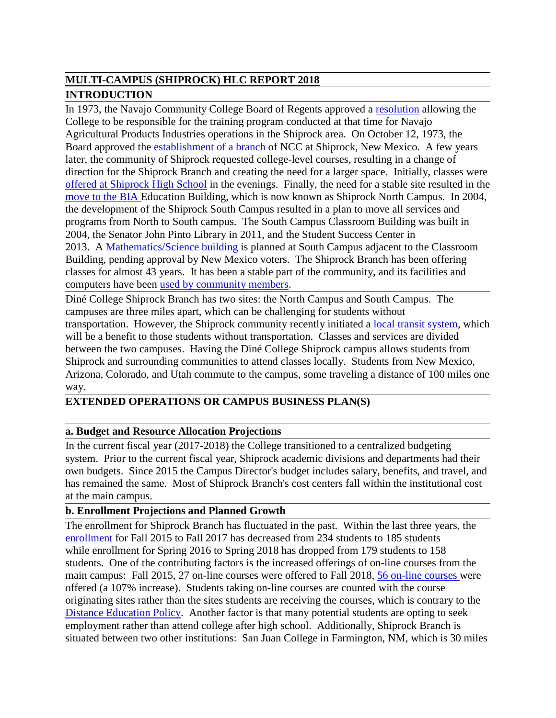# **MULTI-CAMPUS (SHIPROCK) HLC REPORT 2018 INTRODUCTION**

In 1973, the Navajo Community College Board of Regents approved a resolution allowing the College to be responsible for the training program conducted at that time for Navajo Agricultural Products Industries operations in the Shiprock area. On October 12, 1973, the Board approved the establishment of a branch of NCC at Shiprock, New Mexico. A few years later, the community of Shiprock requested college-level courses, resulting in a change of direction for the Shiprock Branch and creating the need for a larger space. Initially, classes were offered at Shiprock High School in the evenings. Finally, the need for a stable site resulted in the move to the BIA Education Building, which is now known as Shiprock North Campus. In 2004, the development of the Shiprock South Campus resulted in a plan to move all services and programs from North to South campus. The South Campus Classroom Building was built in 2004, the Senator John Pinto Library in 2011, and the Student Success Center in 2013. A Mathematics/Science building is planned at South Campus adjacent to the Classroom Building, pending approval by New Mexico voters. The Shiprock Branch has been offering classes for almost 43 years. It has been a stable part of the community, and its facilities and computers have been used by community members.

Diné College Shiprock Branch has two sites: the North Campus and South Campus. The campuses are three miles apart, which can be challenging for students without transportation. However, the Shiprock community recently initiated a local transit system, which will be a benefit to those students without transportation. Classes and services are divided between the two campuses. Having the Diné College Shiprock campus allows students from Shiprock and surrounding communities to attend classes locally. Students from New Mexico, Arizona, Colorado, and Utah commute to the campus, some traveling a distance of 100 miles one way.

# **EXTENDED OPERATIONS OR CAMPUS BUSINESS PLAN(S)**

# **a. Budget and Resource Allocation Projections**

In the current fiscal year (2017-2018) the College transitioned to a centralized budgeting system. Prior to the current fiscal year, Shiprock academic divisions and departments had their own budgets. Since 2015 the Campus Director's budget includes salary, benefits, and travel, and has remained the same. Most of Shiprock Branch's cost centers fall within the institutional cost at the main campus.

# **b. Enrollment Projections and Planned Growth**

The enrollment for Shiprock Branch has fluctuated in the past. Within the last three years, the enrollment for Fall 2015 to Fall 2017 has decreased from 234 students to 185 students while enrollment for Spring 2016 to Spring 2018 has dropped from 179 students to 158 students. One of the contributing factors is the increased offerings of on-line courses from the main campus: Fall 2015, 27 on-line courses were offered to Fall 2018, 56 on-line courses were offered (a 107% increase). Students taking on-line courses are counted with the course originating sites rather than the sites students are receiving the courses, which is contrary to the Distance Education Policy. Another factor is that many potential students are opting to seek employment rather than attend college after high school. Additionally, Shiprock Branch is situated between two other institutions: San Juan College in Farmington, NM, which is 30 miles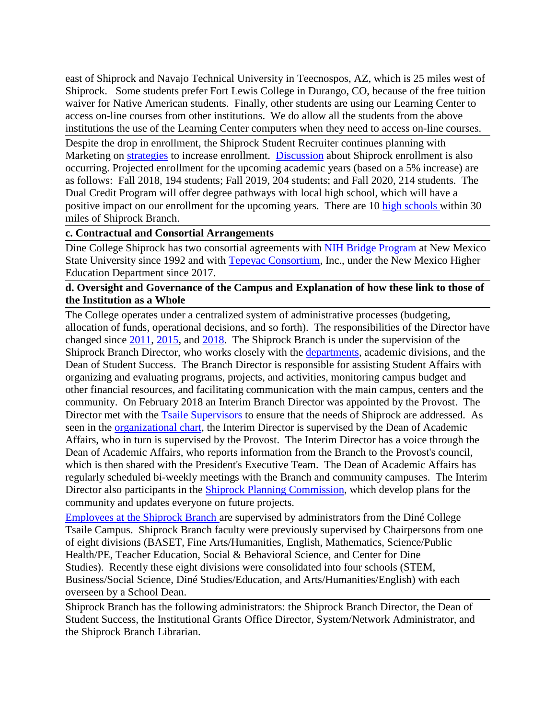east of Shiprock and Navajo Technical University in Teecnospos, AZ, which is 25 miles west of Shiprock. Some students prefer Fort Lewis College in Durango, CO, because of the free tuition waiver for Native American students. Finally, other students are using our Learning Center to access on-line courses from other institutions. We do allow all the students from the above institutions the use of the Learning Center computers when they need to access on-line courses.

Despite the drop in enrollment, the Shiprock Student Recruiter continues planning with Marketing on strategies to increase enrollment. Discussion about Shiprock enrollment is also occurring. Projected enrollment for the upcoming academic years (based on a 5% increase) are as follows: Fall 2018, 194 students; Fall 2019, 204 students; and Fall 2020, 214 students. The Dual Credit Program will offer degree pathways with local high school, which will have a positive impact on our enrollment for the upcoming years. There are 10 high schools within 30 miles of Shiprock Branch.

#### **c. Contractual and Consortial Arrangements**

Dine College Shiprock has two consortial agreements with NIH Bridge Program at New Mexico State University since 1992 and with Tepeyac Consortium, Inc., under the New Mexico Higher Education Department since 2017.

#### **d. Oversight and Governance of the Campus and Explanation of how these link to those of the Institution as a Whole**

The College operates under a centralized system of administrative processes (budgeting, allocation of funds, operational decisions, and so forth). The responsibilities of the Director have changed since 2011, 2015, and 2018. The Shiprock Branch is under the supervision of the Shiprock Branch Director, who works closely with the departments, academic divisions, and the Dean of Student Success. The Branch Director is responsible for assisting Student Affairs with organizing and evaluating programs, projects, and activities, monitoring campus budget and other financial resources, and facilitating communication with the main campus, centers and the community. On February 2018 an Interim Branch Director was appointed by the Provost. The Director met with the Tsaile Supervisors to ensure that the needs of Shiprock are addressed. As seen in the organizational chart, the Interim Director is supervised by the Dean of Academic Affairs, who in turn is supervised by the Provost. The Interim Director has a voice through the Dean of Academic Affairs, who reports information from the Branch to the Provost's council, which is then shared with the President's Executive Team. The Dean of Academic Affairs has regularly scheduled bi-weekly meetings with the Branch and community campuses. The Interim Director also participants in the Shiprock Planning Commission, which develop plans for the community and updates everyone on future projects.

Employees at the Shiprock Branch are supervised by administrators from the Diné College Tsaile Campus. Shiprock Branch faculty were previously supervised by Chairpersons from one of eight divisions (BASET, Fine Arts/Humanities, English, Mathematics, Science/Public Health/PE, Teacher Education, Social & Behavioral Science, and Center for Dine Studies). Recently these eight divisions were consolidated into four schools (STEM, Business/Social Science, Diné Studies/Education, and Arts/Humanities/English) with each overseen by a School Dean.

Shiprock Branch has the following administrators: the Shiprock Branch Director, the Dean of Student Success, the Institutional Grants Office Director, System/Network Administrator, and the Shiprock Branch Librarian.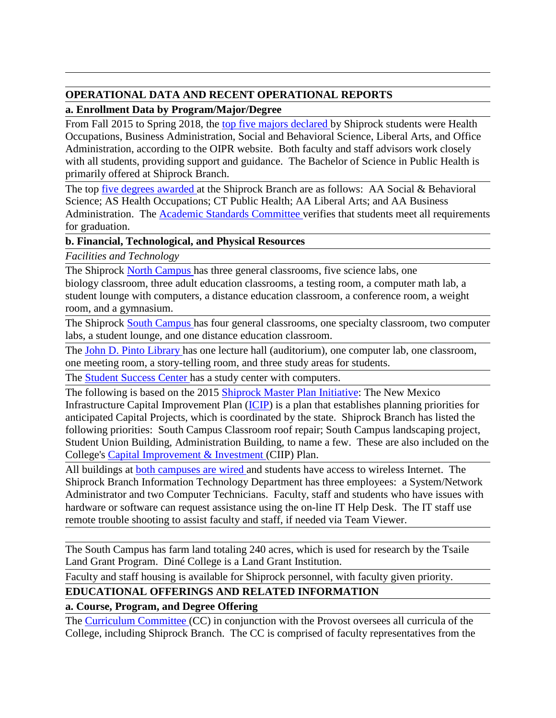# **OPERATIONAL DATA AND RECENT OPERATIONAL REPORTS**

# **a. Enrollment Data by Program/Major/Degree**

From Fall 2015 to Spring 2018, the top five majors declared by Shiprock students were Health Occupations, Business Administration, Social and Behavioral Science, Liberal Arts, and Office Administration, according to the OIPR website. Both faculty and staff advisors work closely with all students, providing support and guidance. The Bachelor of Science in Public Health is primarily offered at Shiprock Branch.

The top five degrees awarded at the Shiprock Branch are as follows: AA Social & Behavioral Science; AS Health Occupations; CT Public Health; AA Liberal Arts; and AA Business Administration. The **Academic Standards Committee** verifies that students meet all requirements for graduation.

# **b. Financial, Technological, and Physical Resources**

*Facilities and Technology*

The Shiprock North Campus has three general classrooms, five science labs, one

biology classroom, three adult education classrooms, a testing room, a computer math lab, a student lounge with computers, a distance education classroom, a conference room, a weight room, and a gymnasium.

The Shiprock South Campus has four general classrooms, one specialty classroom, two computer labs, a student lounge, and one distance education classroom.

The John D. Pinto Library has one lecture hall (auditorium), one computer lab, one classroom, one meeting room, a story-telling room, and three study areas for students.

The **Student Success Center has a study center with computers.** 

The following is based on the 2015 Shiprock Master Plan Initiative: The New Mexico Infrastructure Capital Improvement Plan (ICIP) is a plan that establishes planning priorities for anticipated Capital Projects, which is coordinated by the state. Shiprock Branch has listed the following priorities: South Campus Classroom roof repair; South Campus landscaping project, Student Union Building, Administration Building, to name a few. These are also included on the College's Capital Improvement & Investment (CIIP) Plan.

All buildings at both campuses are wired and students have access to wireless Internet. The Shiprock Branch Information Technology Department has three employees: a System/Network Administrator and two Computer Technicians. Faculty, staff and students who have issues with hardware or software can request assistance using the on-line IT Help Desk. The IT staff use remote trouble shooting to assist faculty and staff, if needed via Team Viewer.

The South Campus has farm land totaling 240 acres, which is used for research by the Tsaile Land Grant Program. Diné College is a Land Grant Institution.

Faculty and staff housing is available for Shiprock personnel, with faculty given priority.

# **EDUCATIONAL OFFERINGS AND RELATED INFORMATION**

# **a. Course, Program, and Degree Offering**

The Curriculum Committee (CC) in conjunction with the Provost oversees all curricula of the College, including Shiprock Branch. The CC is comprised of faculty representatives from the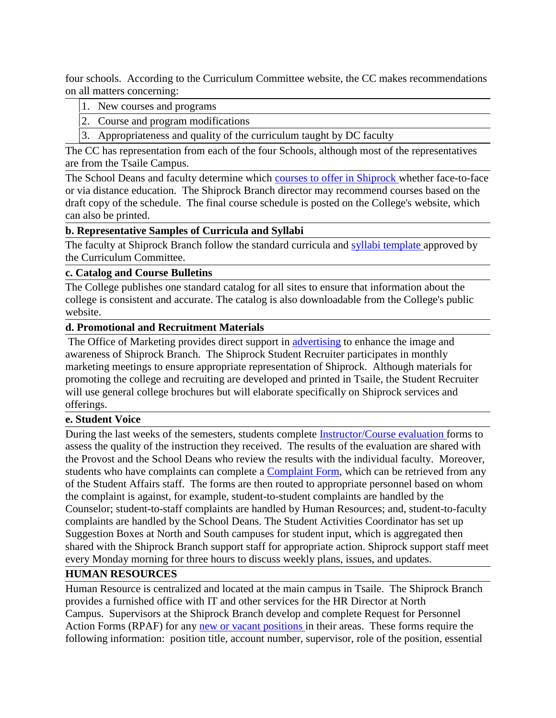four schools. According to the Curriculum Committee website, the CC makes recommendations on all matters concerning:

- 1. New courses and programs
- 2. Course and program modifications
- 3. Appropriateness and quality of the curriculum taught by DC faculty

The CC has representation from each of the four Schools, although most of the representatives are from the Tsaile Campus.

The School Deans and faculty determine which courses to offer in Shiprock whether face-to-face or via distance education. The Shiprock Branch director may recommend courses based on the draft copy of the schedule. The final course schedule is posted on the College's website, which can also be printed.

### **b. Representative Samples of Curricula and Syllabi**

The faculty at Shiprock Branch follow the standard curricula and syllabi template approved by the Curriculum Committee.

### **c. Catalog and Course Bulletins**

The College publishes one standard catalog for all sites to ensure that information about the college is consistent and accurate. The catalog is also downloadable from the College's public website.

### **d. Promotional and Recruitment Materials**

The Office of Marketing provides direct support in advertising to enhance the image and awareness of Shiprock Branch. The Shiprock Student Recruiter participates in monthly marketing meetings to ensure appropriate representation of Shiprock. Although materials for promoting the college and recruiting are developed and printed in Tsaile, the Student Recruiter will use general college brochures but will elaborate specifically on Shiprock services and offerings.

# **e. Student Voice**

During the last weeks of the semesters, students complete Instructor/Course evaluation forms to assess the quality of the instruction they received. The results of the evaluation are shared with the Provost and the School Deans who review the results with the individual faculty. Moreover, students who have complaints can complete a Complaint Form, which can be retrieved from any of the Student Affairs staff. The forms are then routed to appropriate personnel based on whom the complaint is against, for example, student-to-student complaints are handled by the Counselor; student-to-staff complaints are handled by Human Resources; and, student-to-faculty complaints are handled by the School Deans. The Student Activities Coordinator has set up Suggestion Boxes at North and South campuses for student input, which is aggregated then shared with the Shiprock Branch support staff for appropriate action. Shiprock support staff meet every Monday morning for three hours to discuss weekly plans, issues, and updates.

# **HUMAN RESOURCES**

Human Resource is centralized and located at the main campus in Tsaile. The Shiprock Branch provides a furnished office with IT and other services for the HR Director at North Campus. Supervisors at the Shiprock Branch develop and complete Request for Personnel Action Forms (RPAF) for any new or vacant positions in their areas. These forms require the following information: position title, account number, supervisor, role of the position, essential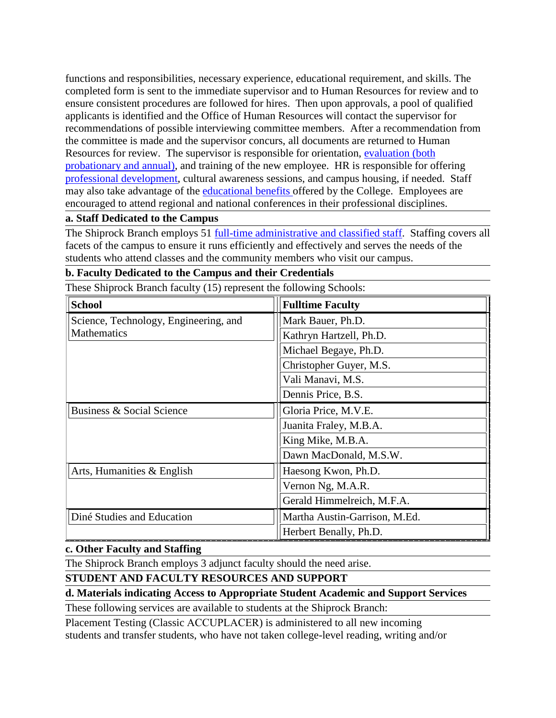functions and responsibilities, necessary experience, educational requirement, and skills. The completed form is sent to the immediate supervisor and to Human Resources for review and to ensure consistent procedures are followed for hires. Then upon approvals, a pool of qualified applicants is identified and the Office of Human Resources will contact the supervisor for recommendations of possible interviewing committee members. After a recommendation from the committee is made and the supervisor concurs, all documents are returned to Human Resources for review. The supervisor is responsible for orientation, evaluation (both probationary and annual), and training of the new employee. HR is responsible for offering professional development, cultural awareness sessions, and campus housing, if needed. Staff may also take advantage of the educational benefits offered by the College. Employees are encouraged to attend regional and national conferences in their professional disciplines.

### **a. Staff Dedicated to the Campus**

The Shiprock Branch employs 51 full-time administrative and classified staff. Staffing covers all facets of the campus to ensure it runs efficiently and effectively and serves the needs of the students who attend classes and the community members who visit our campus.

# **b. Faculty Dedicated to the Campus and their Credentials**

These Shiprock Branch faculty (15) represent the following Schools:

| <b>School</b>                                        | <b>Fulltime Faculty</b>       |
|------------------------------------------------------|-------------------------------|
| Science, Technology, Engineering, and<br>Mathematics | Mark Bauer, Ph.D.             |
|                                                      | Kathryn Hartzell, Ph.D.       |
|                                                      | Michael Begaye, Ph.D.         |
|                                                      | Christopher Guyer, M.S.       |
|                                                      | Vali Manavi, M.S.             |
|                                                      | Dennis Price, B.S.            |
| <b>Business &amp; Social Science</b>                 | Gloria Price, M.V.E.          |
|                                                      | Juanita Fraley, M.B.A.        |
|                                                      | King Mike, M.B.A.             |
|                                                      | Dawn MacDonald, M.S.W.        |
| Arts, Humanities & English                           | Haesong Kwon, Ph.D.           |
|                                                      | Vernon Ng, M.A.R.             |
|                                                      | Gerald Himmelreich, M.F.A.    |
| Diné Studies and Education                           | Martha Austin-Garrison, M.Ed. |
|                                                      | Herbert Benally, Ph.D.        |

#### **c. Other Faculty and Staffing**

The Shiprock Branch employs 3 adjunct faculty should the need arise.

# **STUDENT AND FACULTY RESOURCES AND SUPPORT**

#### **d. Materials indicating Access to Appropriate Student Academic and Support Services**

These following services are available to students at the Shiprock Branch:

Placement Testing (Classic ACCUPLACER) is administered to all new incoming students and transfer students, who have not taken college-level reading, writing and/or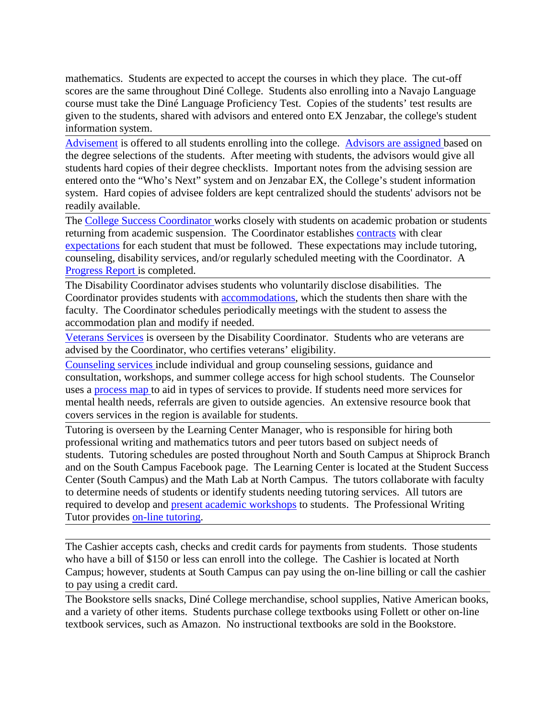mathematics. Students are expected to accept the courses in which they place. The cut-off scores are the same throughout Diné College. Students also enrolling into a Navajo Language course must take the Diné Language Proficiency Test. Copies of the students' test results are given to the students, shared with advisors and entered onto EX Jenzabar, the college's student information system.

Advisement is offered to all students enrolling into the college. Advisors are assigned based on the degree selections of the students. After meeting with students, the advisors would give all students hard copies of their degree checklists. Important notes from the advising session are entered onto the "Who's Next" system and on Jenzabar EX, the College's student information system. Hard copies of advisee folders are kept centralized should the students' advisors not be readily available.

The College Success Coordinator works closely with students on academic probation or students returning from academic suspension. The Coordinator establishes contracts with clear expectations for each student that must be followed. These expectations may include tutoring, counseling, disability services, and/or regularly scheduled meeting with the Coordinator. A Progress Report is completed.

The Disability Coordinator advises students who voluntarily disclose disabilities. The Coordinator provides students with accommodations, which the students then share with the faculty. The Coordinator schedules periodically meetings with the student to assess the accommodation plan and modify if needed.

Veterans Services is overseen by the Disability Coordinator. Students who are veterans are advised by the Coordinator, who certifies veterans' eligibility.

Counseling services include individual and group counseling sessions, guidance and consultation, workshops, and summer college access for high school students. The Counselor uses a process map to aid in types of services to provide. If students need more services for mental health needs, referrals are given to outside agencies. An extensive resource book that covers services in the region is available for students.

Tutoring is overseen by the Learning Center Manager, who is responsible for hiring both professional writing and mathematics tutors and peer tutors based on subject needs of students. Tutoring schedules are posted throughout North and South Campus at Shiprock Branch and on the South Campus Facebook page. The Learning Center is located at the Student Success Center (South Campus) and the Math Lab at North Campus. The tutors collaborate with faculty to determine needs of students or identify students needing tutoring services. All tutors are required to develop and present academic workshops to students. The Professional Writing Tutor provides on-line tutoring.

The Cashier accepts cash, checks and credit cards for payments from students. Those students who have a bill of \$150 or less can enroll into the college. The Cashier is located at North Campus; however, students at South Campus can pay using the on-line billing or call the cashier to pay using a credit card.

The Bookstore sells snacks, Diné College merchandise, school supplies, Native American books, and a variety of other items. Students purchase college textbooks using Follett or other on-line textbook services, such as Amazon. No instructional textbooks are sold in the Bookstore.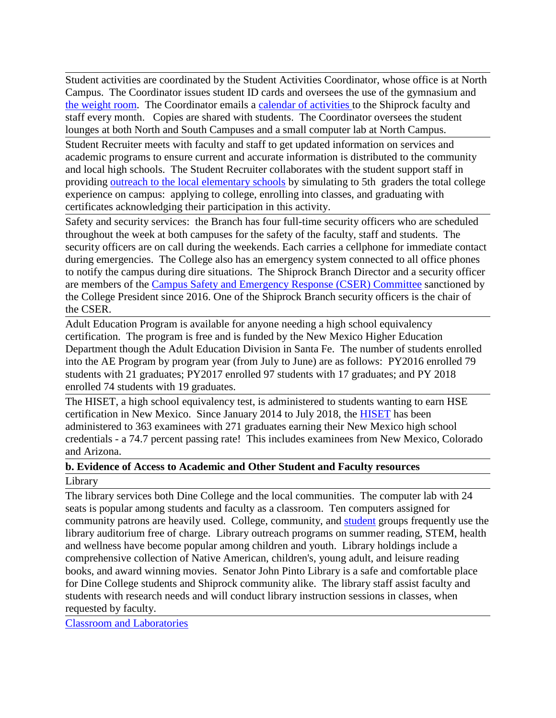Student activities are coordinated by the Student Activities Coordinator, whose office is at North Campus. The Coordinator issues student ID cards and oversees the use of the gymnasium and the weight room. The Coordinator emails a calendar of activities to the Shiprock faculty and staff every month. Copies are shared with students. The Coordinator oversees the student lounges at both North and South Campuses and a small computer lab at North Campus.

Student Recruiter meets with faculty and staff to get updated information on services and academic programs to ensure current and accurate information is distributed to the community and local high schools. The Student Recruiter collaborates with the student support staff in providing outreach to the local elementary schools by simulating to 5th graders the total college experience on campus: applying to college, enrolling into classes, and graduating with certificates acknowledging their participation in this activity.

Safety and security services: the Branch has four full-time security officers who are scheduled throughout the week at both campuses for the safety of the faculty, staff and students. The security officers are on call during the weekends. Each carries a cellphone for immediate contact during emergencies. The College also has an emergency system connected to all office phones to notify the campus during dire situations. The Shiprock Branch Director and a security officer are members of the Campus Safety and Emergency Response (CSER) Committee sanctioned by the College President since 2016. One of the Shiprock Branch security officers is the chair of the CSER.

Adult Education Program is available for anyone needing a high school equivalency certification. The program is free and is funded by the New Mexico Higher Education Department though the Adult Education Division in Santa Fe. The number of students enrolled into the AE Program by program year (from July to June) are as follows: PY2016 enrolled 79 students with 21 graduates; PY2017 enrolled 97 students with 17 graduates; and PY 2018 enrolled 74 students with 19 graduates.

The HISET, a high school equivalency test, is administered to students wanting to earn HSE certification in New Mexico. Since January 2014 to July 2018, the HISET has been administered to 363 examinees with 271 graduates earning their New Mexico high school credentials - a 74.7 percent passing rate! This includes examinees from New Mexico, Colorado and Arizona.

# **b. Evidence of Access to Academic and Other Student and Faculty resources**

#### Library

The library services both Dine College and the local communities. The computer lab with 24 seats is popular among students and faculty as a classroom. Ten computers assigned for community patrons are heavily used. College, community, and student groups frequently use the library auditorium free of charge. Library outreach programs on summer reading, STEM, health and wellness have become popular among children and youth. Library holdings include a comprehensive collection of Native American, children's, young adult, and leisure reading books, and award winning movies. Senator John Pinto Library is a safe and comfortable place for Dine College students and Shiprock community alike. The library staff assist faculty and students with research needs and will conduct library instruction sessions in classes, when requested by faculty.

Classroom and Laboratories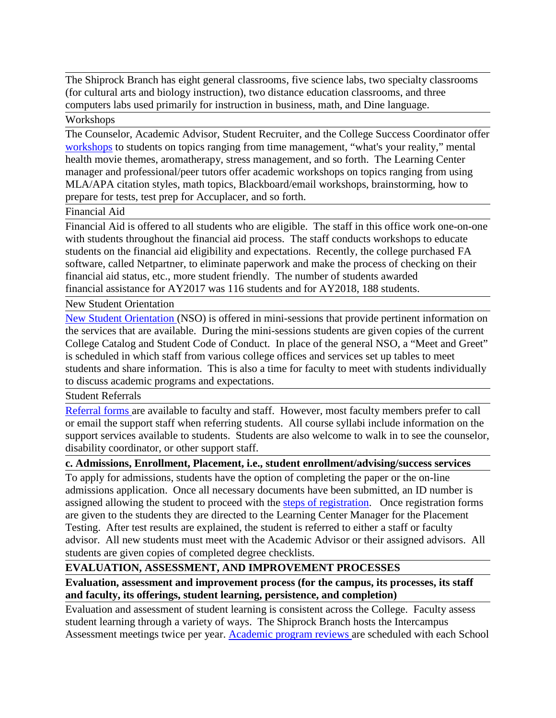The Shiprock Branch has eight general classrooms, five science labs, two specialty classrooms (for cultural arts and biology instruction), two distance education classrooms, and three computers labs used primarily for instruction in business, math, and Dine language.

## **Workshops**

The Counselor, Academic Advisor, Student Recruiter, and the College Success Coordinator offer workshops to students on topics ranging from time management, "what's your reality," mental health movie themes, aromatherapy, stress management, and so forth. The Learning Center manager and professional/peer tutors offer academic workshops on topics ranging from using MLA/APA citation styles, math topics, Blackboard/email workshops, brainstorming, how to prepare for tests, test prep for Accuplacer, and so forth.

#### Financial Aid

Financial Aid is offered to all students who are eligible. The staff in this office work one-on-one with students throughout the financial aid process. The staff conducts workshops to educate students on the financial aid eligibility and expectations. Recently, the college purchased FA software, called Netpartner, to eliminate paperwork and make the process of checking on their financial aid status, etc., more student friendly. The number of students awarded financial assistance for AY2017 was 116 students and for AY2018, 188 students.

#### New Student Orientation

New Student Orientation (NSO) is offered in mini-sessions that provide pertinent information on the services that are available. During the mini-sessions students are given copies of the current College Catalog and Student Code of Conduct. In place of the general NSO, a "Meet and Greet" is scheduled in which staff from various college offices and services set up tables to meet students and share information. This is also a time for faculty to meet with students individually to discuss academic programs and expectations.

#### Student Referrals

Referral forms are available to faculty and staff. However, most faculty members prefer to call or email the support staff when referring students. All course syllabi include information on the support services available to students. Students are also welcome to walk in to see the counselor, disability coordinator, or other support staff.

#### **c. Admissions, Enrollment, Placement, i.e., student enrollment/advising/success services**

To apply for admissions, students have the option of completing the paper or the on-line admissions application. Once all necessary documents have been submitted, an ID number is assigned allowing the student to proceed with the steps of registration. Once registration forms are given to the students they are directed to the Learning Center Manager for the Placement Testing. After test results are explained, the student is referred to either a staff or faculty advisor. All new students must meet with the Academic Advisor or their assigned advisors. All students are given copies of completed degree checklists.

#### **EVALUATION, ASSESSMENT, AND IMPROVEMENT PROCESSES**

### **Evaluation, assessment and improvement process (for the campus, its processes, its staff and faculty, its offerings, student learning, persistence, and completion)**

Evaluation and assessment of student learning is consistent across the College. Faculty assess student learning through a variety of ways. The Shiprock Branch hosts the Intercampus Assessment meetings twice per year. Academic program reviews are scheduled with each School